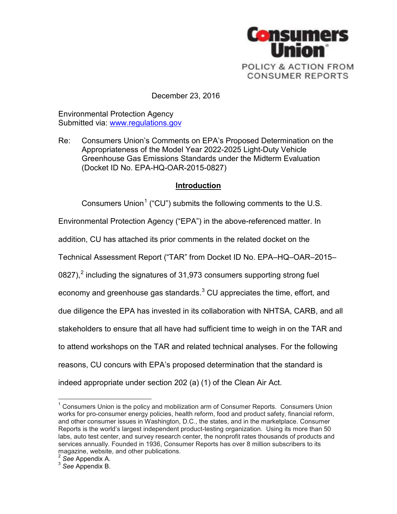

December 23, 2016

Environmental Protection Agency Submitted via: [www.regulations.gov](http://www.regulations.gov/)

Re: Consumers Union's Comments on EPA's Proposed Determination on the Appropriateness of the Model Year 2022-2025 Light-Duty Vehicle Greenhouse Gas Emissions Standards under the Midterm Evaluation (Docket ID No. EPA-HQ-OAR-2015-0827)

## **Introduction**

Consumers Union<sup>[1](#page-0-0)</sup> ("CU") submits the following comments to the U.S.

Environmental Protection Agency ("EPA") in the above-referenced matter. In

addition, CU has attached its prior comments in the related docket on the

Technical Assessment Report ("TAR" from Docket ID No. EPA–HQ–OAR–2015–

08[2](#page-0-1)7),<sup>2</sup> including the signatures of 31,973 consumers supporting strong fuel

economy and greenhouse gas standards. $3$  CU appreciates the time, effort, and

due diligence the EPA has invested in its collaboration with NHTSA, CARB, and all

stakeholders to ensure that all have had sufficient time to weigh in on the TAR and

to attend workshops on the TAR and related technical analyses. For the following

reasons, CU concurs with EPA's proposed determination that the standard is

indeed appropriate under section 202 (a) (1) of the Clean Air Act.

<span id="page-0-0"></span><sup>&</sup>lt;sup>1</sup> Consumers Union is the policy and mobilization arm of Consumer Reports. Consumers Union works for pro-consumer energy policies, health reform, food and product safety, financial reform, and other consumer issues in Washington, D.C., the states, and in the marketplace. Consumer Reports is the world's largest independent product-testing organization. Using its more than 50 labs, auto test center, and survey research center, the nonprofit rates thousands of products and services annually. Founded in 1936, Consumer Reports has over 8 million subscribers to its magazine, website, and other publications.<br>
<sup>2</sup> See Appendix A.<br>
<sup>3</sup> See Appendix B.

<span id="page-0-1"></span>

<span id="page-0-2"></span>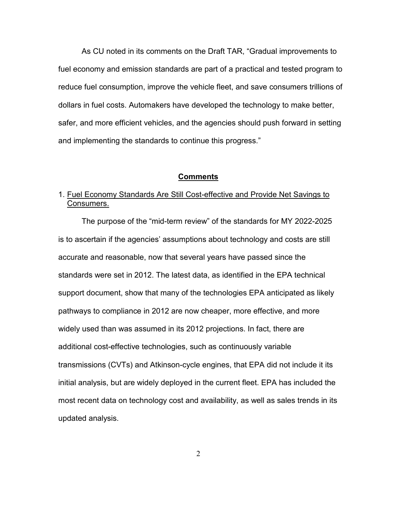As CU noted in its comments on the Draft TAR, "Gradual improvements to fuel economy and emission standards are part of a practical and tested program to reduce fuel consumption, improve the vehicle fleet, and save consumers trillions of dollars in fuel costs. Automakers have developed the technology to make better, safer, and more efficient vehicles, and the agencies should push forward in setting and implementing the standards to continue this progress."

#### **Comments**

# 1. Fuel Economy Standards Are Still Cost-effective and Provide Net Savings to Consumers.

The purpose of the "mid-term review" of the standards for MY 2022-2025 is to ascertain if the agencies' assumptions about technology and costs are still accurate and reasonable, now that several years have passed since the standards were set in 2012. The latest data, as identified in the EPA technical support document, show that many of the technologies EPA anticipated as likely pathways to compliance in 2012 are now cheaper, more effective, and more widely used than was assumed in its 2012 projections. In fact, there are additional cost-effective technologies, such as continuously variable transmissions (CVTs) and Atkinson-cycle engines, that EPA did not include it its initial analysis, but are widely deployed in the current fleet. EPA has included the most recent data on technology cost and availability, as well as sales trends in its updated analysis.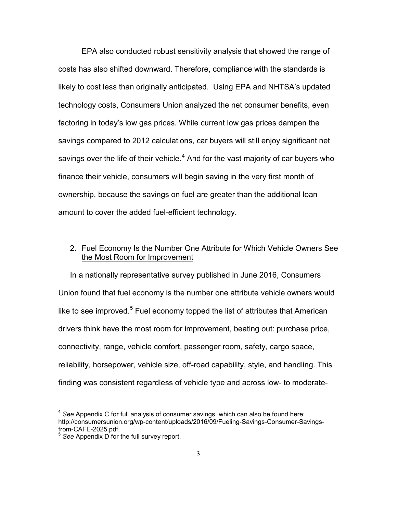EPA also conducted robust sensitivity analysis that showed the range of costs has also shifted downward. Therefore, compliance with the standards is likely to cost less than originally anticipated. Using EPA and NHTSA's updated technology costs, Consumers Union analyzed the net consumer benefits, even factoring in today's low gas prices. While current low gas prices dampen the savings compared to 2012 calculations, car buyers will still enjoy significant net savings over the life of their vehicle. $4$  And for the vast majority of car buyers who finance their vehicle, consumers will begin saving in the very first month of ownership, because the savings on fuel are greater than the additional loan amount to cover the added fuel-efficient technology.

## 2. Fuel Economy Is the Number One Attribute for Which Vehicle Owners See the Most Room for Improvement

In a nationally representative survey published in June 2016, Consumers Union found that fuel economy is the number one attribute vehicle owners would like to see improved.<sup>[5](#page-2-1)</sup> Fuel economy topped the list of attributes that American drivers think have the most room for improvement, beating out: purchase price, connectivity, range, vehicle comfort, passenger room, safety, cargo space, reliability, horsepower, vehicle size, off-road capability, style, and handling. This finding was consistent regardless of vehicle type and across low- to moderate-

<span id="page-2-0"></span><sup>4</sup> *See* Appendix C for full analysis of consumer savings, which can also be found here: http://consumersunion.org/wp-content/uploads/2016/09/Fueling-Savings-Consumer-Savingsfrom-CAFE-2025.pdf.<br><sup>5</sup> See Appendix D for the full survey report.

<span id="page-2-1"></span>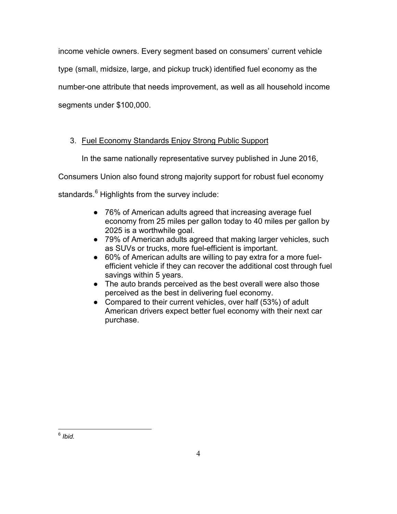income vehicle owners. Every segment based on consumers' current vehicle type (small, midsize, large, and pickup truck) identified fuel economy as the number-one attribute that needs improvement, as well as all household income segments under \$100,000.

# 3. Fuel Economy Standards Enjoy Strong Public Support

In the same nationally representative survey published in June 2016,

Consumers Union also found strong majority support for robust fuel economy

standards.<sup>[6](#page-3-0)</sup> Highlights from the survey include:

- 76% of American adults agreed that increasing average fuel economy from 25 miles per gallon today to 40 miles per gallon by 2025 is a worthwhile goal.
- 79% of American adults agreed that making larger vehicles, such as SUVs or trucks, more fuel-efficient is important.
- 60% of American adults are willing to pay extra for a more fuelefficient vehicle if they can recover the additional cost through fuel savings within 5 years.
- The auto brands perceived as the best overall were also those perceived as the best in delivering fuel economy.
- Compared to their current vehicles, over half (53%) of adult American drivers expect better fuel economy with their next car purchase.

<span id="page-3-0"></span><sup>6</sup> *Ibid.*  $\overline{a}$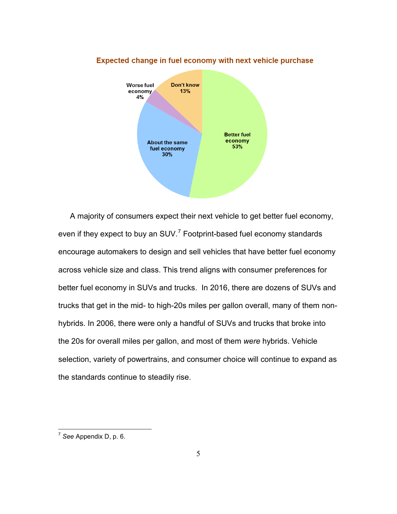

### Expected change in fuel economy with next vehicle purchase

A majority of consumers expect their next vehicle to get better fuel economy, even if they expect to buy an SUV.<sup>[7](#page-4-0)</sup> Footprint-based fuel economy standards encourage automakers to design and sell vehicles that have better fuel economy across vehicle size and class. This trend aligns with consumer preferences for better fuel economy in SUVs and trucks. In 2016, there are dozens of SUVs and trucks that get in the mid- to high-20s miles per gallon overall, many of them nonhybrids. In 2006, there were only a handful of SUVs and trucks that broke into the 20s for overall miles per gallon, and most of them *were* hybrids. Vehicle selection, variety of powertrains, and consumer choice will continue to expand as the standards continue to steadily rise.

<span id="page-4-0"></span><sup>7</sup> *See* Appendix D, p. 6.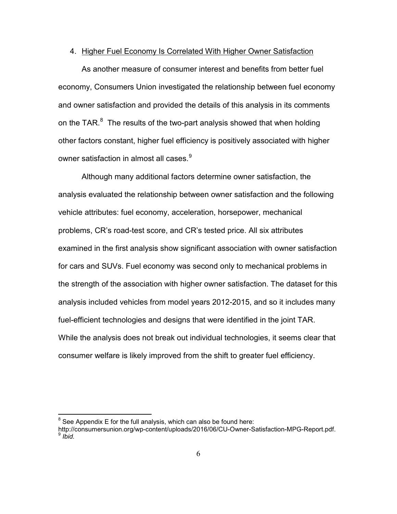#### 4. Higher Fuel Economy Is Correlated With Higher Owner Satisfaction

As another measure of consumer interest and benefits from better fuel economy, Consumers Union investigated the relationship between fuel economy and owner satisfaction and provided the details of this analysis in its comments on the TAR. $^8$  $^8$  The results of the two-part analysis showed that when holding other factors constant, higher fuel efficiency is positively associated with higher owner satisfaction in almost all cases.<sup>[9](#page-5-1)</sup>

Although many additional factors determine owner satisfaction, the analysis evaluated the relationship between owner satisfaction and the following vehicle attributes: fuel economy, acceleration, horsepower, mechanical problems, CR's road-test score, and CR's tested price. All six attributes examined in the first analysis show significant association with owner satisfaction for cars and SUVs. Fuel economy was second only to mechanical problems in the strength of the association with higher owner satisfaction. The dataset for this analysis included vehicles from model years 2012-2015, and so it includes many fuel-efficient technologies and designs that were identified in the joint TAR. While the analysis does not break out individual technologies, it seems clear that consumer welfare is likely improved from the shift to greater fuel efficiency.

<span id="page-5-0"></span> $8$  See Appendix E for the full analysis, which can also be found here:

<span id="page-5-1"></span>http://consumersunion.org/wp-content/uploads/2016/06/CU-Owner-Satisfaction-MPG-Report.pdf.<br><sup>9</sup> *Ibid.*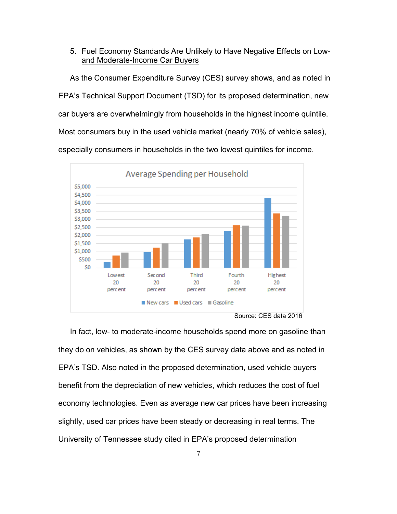5. Fuel Economy Standards Are Unlikely to Have Negative Effects on Lowand Moderate-Income Car Buyers

As the Consumer Expenditure Survey (CES) survey shows, and as noted in EPA's Technical Support Document (TSD) for its proposed determination, new car buyers are overwhelmingly from households in the highest income quintile. Most consumers buy in the used vehicle market (nearly 70% of vehicle sales), especially consumers in households in the two lowest quintiles for income.



Source: CES data 2016

In fact, low- to moderate-income households spend more on gasoline than they do on vehicles, as shown by the CES survey data above and as noted in EPA's TSD. Also noted in the proposed determination, used vehicle buyers benefit from the depreciation of new vehicles, which reduces the cost of fuel economy technologies. Even as average new car prices have been increasing slightly, used car prices have been steady or decreasing in real terms. The University of Tennessee study cited in EPA's proposed determination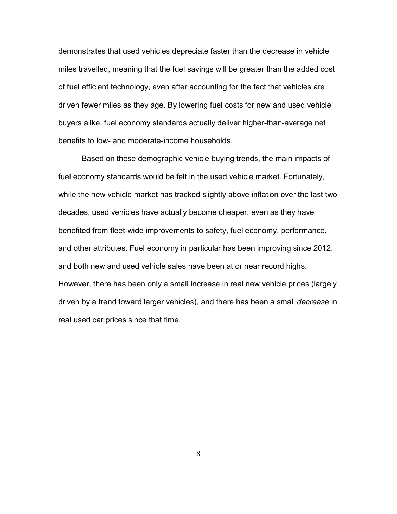demonstrates that used vehicles depreciate faster than the decrease in vehicle miles travelled, meaning that the fuel savings will be greater than the added cost of fuel efficient technology, even after accounting for the fact that vehicles are driven fewer miles as they age. By lowering fuel costs for new and used vehicle buyers alike, fuel economy standards actually deliver higher-than-average net benefits to low- and moderate-income households.

Based on these demographic vehicle buying trends, the main impacts of fuel economy standards would be felt in the used vehicle market. Fortunately, while the new vehicle market has tracked slightly above inflation over the last two decades, used vehicles have actually become cheaper, even as they have benefited from fleet-wide improvements to safety, fuel economy, performance, and other attributes. Fuel economy in particular has been improving since 2012, and both new and used vehicle sales have been at or near record highs. However, there has been only a small increase in real new vehicle prices (largely driven by a trend toward larger vehicles), and there has been a small *decrease* in real used car prices since that time.

8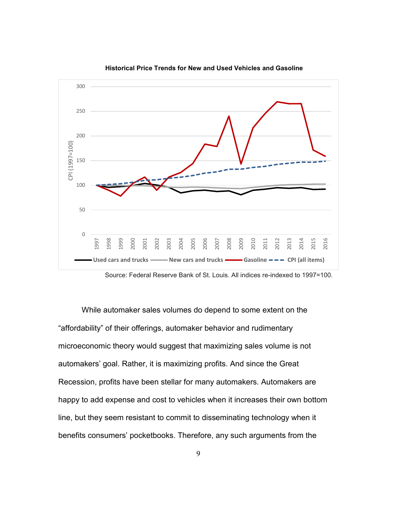

**Historical Price Trends for New and Used Vehicles and Gasoline**

While automaker sales volumes do depend to some extent on the "affordability" of their offerings, automaker behavior and rudimentary microeconomic theory would suggest that maximizing sales volume is not automakers' goal. Rather, it is maximizing profits. And since the Great Recession, profits have been stellar for many automakers. Automakers are happy to add expense and cost to vehicles when it increases their own bottom line, but they seem resistant to commit to disseminating technology when it benefits consumers' pocketbooks. Therefore, any such arguments from the

Source: Federal Reserve Bank of St. Louis. All indices re-indexed to 1997=100.